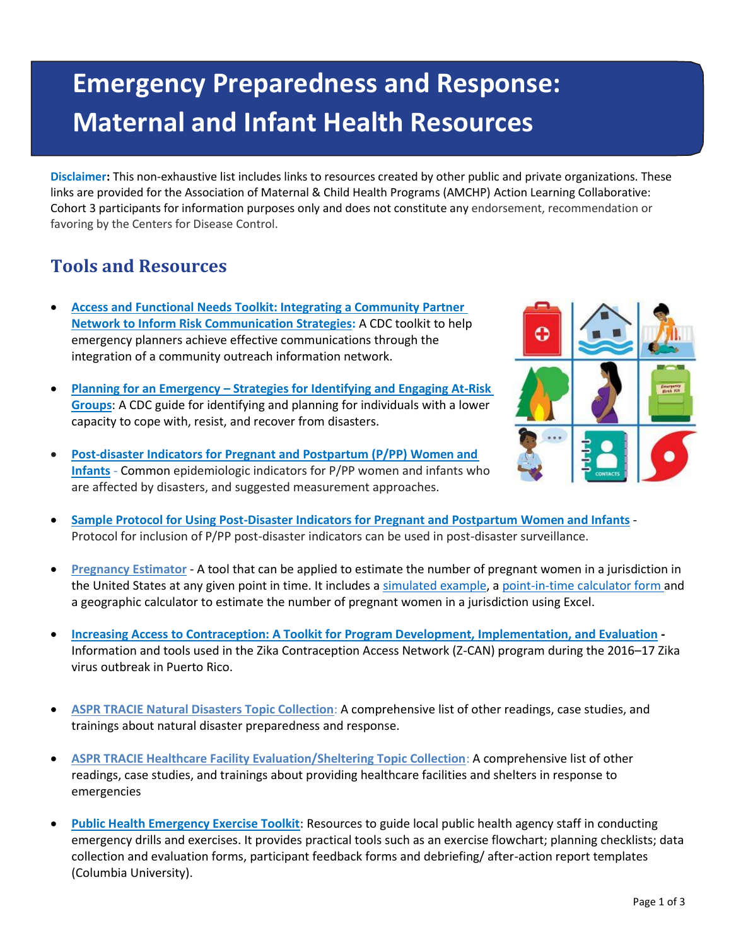## **Emergency Preparedness and Response: Maternal and Infant Health Resources**

**Disclaimer:** This non-exhaustive list includes links to resources created by other public and private organizations. These links are provided for the Association of Maternal & Child Health Programs (AMCHP) Action Learning Collaborative: Cohort 3 participants for information purposes only and does not constitute any endorsement, recommendation or favoring by the Centers for Disease Control.

## **Tools and Resources**

- **[Access and Functional Needs Toolkit: Integrating a Community Partner](https://www.cdc.gov/cpr/readiness/afntoolkit.htm)  [Network to Inform Risk Communication Strategies:](https://www.cdc.gov/cpr/readiness/afntoolkit.htm)** A CDC toolkit to help emergency planners achieve effective communications through the integration of a community outreach information network.
- **Planning for an Emergency – [Strategies for Identifying and Engaging At-Risk](https://www.cdc.gov/nceh/hsb/disaster/atriskguidance.pdf)  [Groups](https://www.cdc.gov/nceh/hsb/disaster/atriskguidance.pdf)**: A CDC guide for identifying and planning for individuals with a lower capacity to cope with, resist, and recover from disasters.
- **[Post-disaster Indicators for Pregnant and Postpartum \(P/PP\) Women and](https://www.cdc.gov/reproductivehealth/emergency/pdfs/PostDisasterIndicatorsV41_CB916.pdf) [Infants](https://www.cdc.gov/reproductivehealth/emergency/pdfs/PostDisasterIndicatorsV41_CB916.pdf)** - Common epidemiologic indicators for P/PP women and infants who are affected by disasters, and suggested measurement approaches.



- **[Sample Protocol for Using Post-Disaster Indicators for Pregnant and Postpartum Women a](https://www.cdc.gov/reproductivehealth/emergency/pdfs/Sample-Protocol-Post-Disaster-Data-Collection-Strategies.pdf)nd [Infants](https://www.cdc.gov/reproductivehealth/emergency/pdfs/Sample-Protocol-Post-Disaster-Data-Collection-Strategies.pdf)** Protocol for inclusion of P/PP post-disaster indicators can be used in post-disaster surveillance.
- **[Pregnancy Estimator](https://www.cdc.gov/reproductivehealth/emergency/pdfs/PregnacyEstimatoBrochure508.pdf)** A tool that can be applied to estimate the number of pregnant women in a jurisdiction in the United States at any given point in time. It includes a [simulated example,](https://www.cdc.gov/reproductivehealth/emergency/pdfs/PregnancyEstimator_Example-8_2013.pdf) a [point-in-time calculator](https://www.cdc.gov/reproductivehealth/emergency/pdfs/PregEstimator_PointIntime-8_2013.pdf) [form](https://www.cdc.gov/reproductivehealth/emergency/pdfs/PregEstimator_PointIntime-8_2013.pdf) and a geographic calculator to estimate the number of pregnant women in a jurisdiction using Excel.
- **[Increasing Access to Contraception: A Toolkit for Program Development, Implementation, and Evaluation](https://zcantoolkit.cdcfoundation.org/toolkit-home) -** Information and tools used in the Zika Contraception Access Network (Z-CAN) program during the 2016–17 Zika virus outbreak in Puerto Rico.
- **[ASPR TRACIE Natural Disasters Topic Collection](https://asprtracie.hhs.gov/technical-resources/36/natural-disasters/27)**: A comprehensive list of other readings, case studies, and trainings about natural disaster preparedness and response.
- **[ASPR TRACIE Healthcare Facility Evaluation/Sheltering Topic Collection](https://asprtracie.hhs.gov/technical-resources/57/healthcare-facility-evacuation-sheltering/0)**: A comprehensive list of other readings, case studies, and trainings about providing healthcare facilities and shelters in response to emergencies
- **[Public Health Emergency Exercise Toolkit](http://www.cidrap.umn.edu/sites/default/files/public/php/339/339_toolkit.pdf)**: Resources to guide local public health agency staff in conducting emergency drills and exercises. It provides practical tools such as an exercise flowchart; planning checklists; data collection and evaluation forms, participant feedback forms and debriefing/ after-action report templates (Columbia University).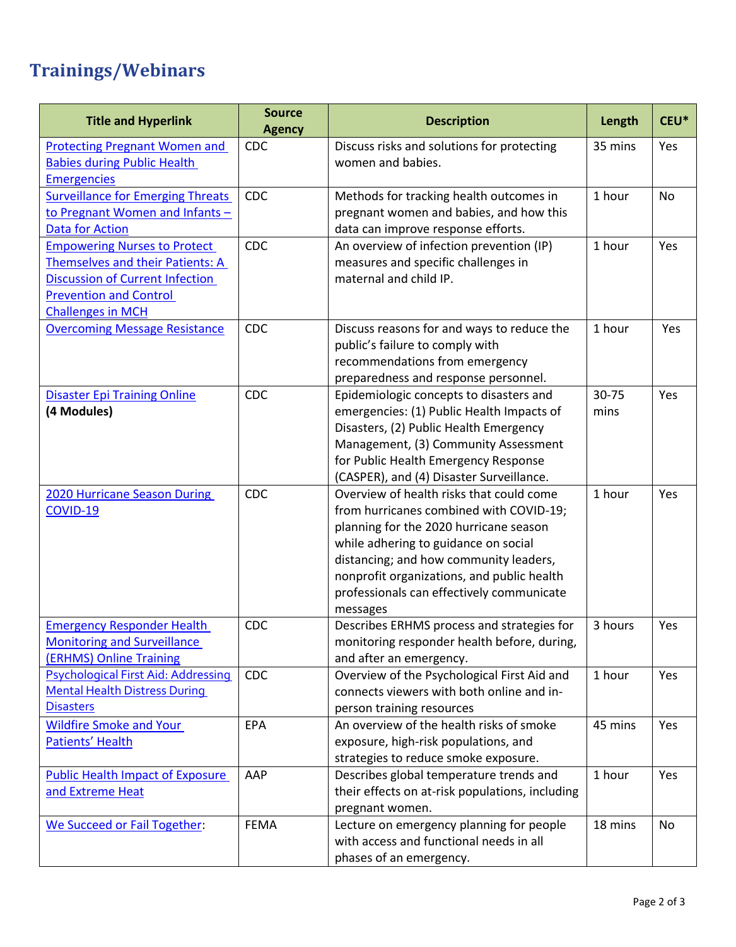## **Trainings/Webinars**

| <b>Title and Hyperlink</b>                                                                                                                                                     | <b>Source</b><br><b>Agency</b> | <b>Description</b>                                                                                                                                                                                                                                                                                                     | Length        | CEU*      |
|--------------------------------------------------------------------------------------------------------------------------------------------------------------------------------|--------------------------------|------------------------------------------------------------------------------------------------------------------------------------------------------------------------------------------------------------------------------------------------------------------------------------------------------------------------|---------------|-----------|
| <b>Protecting Pregnant Women and</b><br><b>Babies during Public Health</b><br><b>Emergencies</b>                                                                               | <b>CDC</b>                     | Discuss risks and solutions for protecting<br>women and babies.                                                                                                                                                                                                                                                        | 35 mins       | Yes       |
| <b>Surveillance for Emerging Threats</b><br>to Pregnant Women and Infants -<br><b>Data for Action</b>                                                                          | <b>CDC</b>                     | Methods for tracking health outcomes in<br>pregnant women and babies, and how this<br>data can improve response efforts.                                                                                                                                                                                               | 1 hour        | <b>No</b> |
| <b>Empowering Nurses to Protect</b><br>Themselves and their Patients: A<br><b>Discussion of Current Infection</b><br><b>Prevention and Control</b><br><b>Challenges in MCH</b> | <b>CDC</b>                     | An overview of infection prevention (IP)<br>measures and specific challenges in<br>maternal and child IP.                                                                                                                                                                                                              | 1 hour        | Yes       |
| <b>Overcoming Message Resistance</b>                                                                                                                                           | <b>CDC</b>                     | Discuss reasons for and ways to reduce the<br>public's failure to comply with<br>recommendations from emergency<br>preparedness and response personnel.                                                                                                                                                                | 1 hour        | Yes       |
| <b>Disaster Epi Training Online</b><br>(4 Modules)                                                                                                                             | <b>CDC</b>                     | Epidemiologic concepts to disasters and<br>emergencies: (1) Public Health Impacts of<br>Disasters, (2) Public Health Emergency<br>Management, (3) Community Assessment<br>for Public Health Emergency Response<br>(CASPER), and (4) Disaster Surveillance.                                                             | 30-75<br>mins | Yes       |
| <b>2020 Hurricane Season During</b><br>COVID-19                                                                                                                                | <b>CDC</b>                     | Overview of health risks that could come<br>from hurricanes combined with COVID-19;<br>planning for the 2020 hurricane season<br>while adhering to guidance on social<br>distancing; and how community leaders,<br>nonprofit organizations, and public health<br>professionals can effectively communicate<br>messages | 1 hour        | Yes       |
| <b>Emergency Responder Health</b><br><b>Monitoring and Surveillance</b><br>(ERHMS) Online Training                                                                             | <b>CDC</b>                     | Describes ERHMS process and strategies for<br>monitoring responder health before, during,<br>and after an emergency.                                                                                                                                                                                                   | 3 hours       | Yes       |
| Psychological First Aid: Addressing<br><b>Mental Health Distress During</b><br><b>Disasters</b>                                                                                | <b>CDC</b>                     | Overview of the Psychological First Aid and<br>connects viewers with both online and in-<br>person training resources                                                                                                                                                                                                  | 1 hour        | Yes       |
| <b>Wildfire Smoke and Your</b><br>Patients' Health                                                                                                                             | <b>EPA</b>                     | An overview of the health risks of smoke<br>exposure, high-risk populations, and<br>strategies to reduce smoke exposure.                                                                                                                                                                                               | 45 mins       | Yes       |
| <b>Public Health Impact of Exposure</b><br>and Extreme Heat                                                                                                                    | AAP                            | Describes global temperature trends and<br>their effects on at-risk populations, including<br>pregnant women.                                                                                                                                                                                                          | 1 hour        | Yes       |
| We Succeed or Fail Together:                                                                                                                                                   | <b>FEMA</b>                    | Lecture on emergency planning for people<br>with access and functional needs in all<br>phases of an emergency.                                                                                                                                                                                                         | 18 mins       | No        |